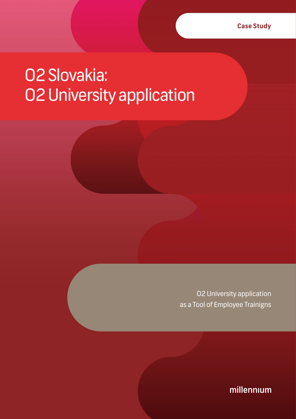## O2 Slovakia: O2 University application

O2 University application as a Tool of Employee Trainigns

millennium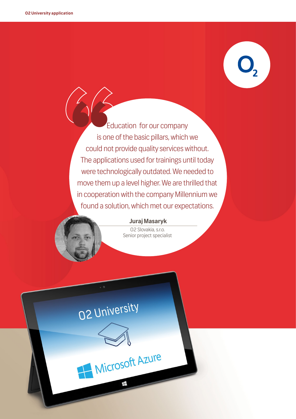Education for our company is one of the basic pillars, which we could not provide quality services without. The applications used for trainings until today were technologically outdated. We needed to move them up a level higher. We are thrilled that in cooperation with the company Millennium we found a solution, which met our expectations. E

#### **Juraj Masaryk**

O2 Slovakia, s.r.o. Senior project specialist

# O2 University

Microsoft Azure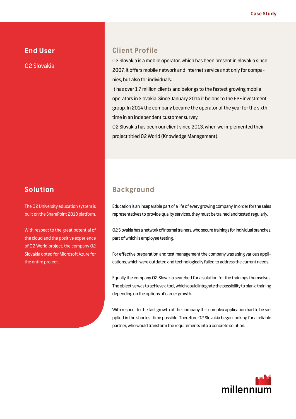#### **End User**

O2 Slovakia

#### **Client Profile**

O2 Slovakia is a mobile operator, which has been present in Slovakia since 2007. It offers mobile network and internet services not only for companies, but also for individuals.

It has over 1.7 million clients and belongs to the fastest growing mobile operators in Slovakia. Since January 2014 it belons to the PPF investment group. In 2014 the company became the operator of the year for the sixth time in an independent customer survey.

O2 Slovakia has been our client since 2013, when we implemented their project titled 02 World (Knowledge Management).

#### **Solution**

The O2 University education system is built on the SharePoint 2013 platform.

With respect to the great potential of the cloud and the positive experience of O2 World project, the company O2 Slovakia opted for Microsoft Azure for the entire project.

#### **Background**

Education is an inseparable part of a life of every growing company. In order for the sales representatives to provide quality services, they must be trained and tested regularly.

O2 Slovakia has a network of internal trainers, who secure trainings for individual branches, part of which is employee testing.

For effective preparation and test management the company was using various applications, which were outdated and technologically failed to address the current needs.

Equally the company O2 Slovakia searched for a solution for the trainings themselves. The objective was to achieve a tool, which could integrate the possibility to plan a training depending on the options of career growth.

With respect to the fast growth of the company this complex application had to be supplied in the shortest time possible. Therefore O2 Slovakia began looking for a reliable partner, who would transform the requirements into a concrete solution.

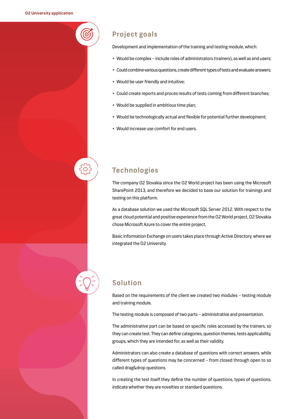#### **Project goals**

Development and implementation of the training and testing module, which:

- Would be complex include roles of administrators (trainers), as well as end users;
- Could combine various questions, create different types of tests and evaluate answers;
- Would be user friendly and intuitive;
- Could create reports and proces results of tests coming from different branches;
- Would be supplied in ambitious time plan;
- Would be technologically actual and flexible for potential further development;
- Would increase use comfort for end users.

#### **Technologies**

The company O2 Slovakia since the O2 World project has been using the Microsoft SharePoint 2013, and therefore we decided to base our solution for trainings and testing on this platform.

As a database solution we used the Microsoft SQL Server 2012. With respect to the great cloud potential and positive experience from the O2 World project, O2 Slovakia chose Microsoft Azure to cover the entire project.

Basic information Exchange on users takes place through Active Directory, where we integrated the O2 University.

#### **Solution**

Based on the requirements of the client we created two modules – testing module and training module.

The testing module is composed of two parts – administrative and presentation.

The administrative part can be based on specific roles accessed by the trainers, so they can create test. They can define categories, question themes, tests applicability, groups, which they are intended for, as well as their validity.

Administrators can also create a database of questions with correct answers, while different types of questions may be concerned – from closed through open to so called drag&drop questions.

In creating the test itself they define the number of questions, types of questions, indicate whether they are novelties or standard questions.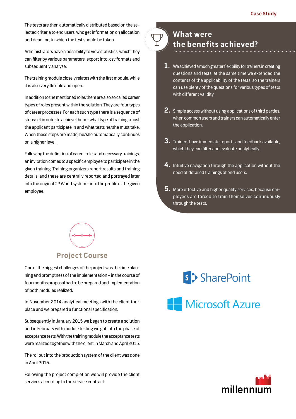The tests are then automatically distributed based on the selected criteria to end users, who get information on allocation and deadline, in which the test should be taken.

Administrators have a possibility to view statistics, which they can filter by various parameters, export into .csv formats and subsequently analyse.

The training module closely relates with the first module, while it is also very flexible and open.

In addition to the mentioned roles there are also so called career types of roles present within the solution. They are four types of career processes. For each such type there is a sequence of steps set in order to achieve them – what type of trainings must the applicant participate in and what tests he/she must take. When these steps are made, he/she automatically continues on a higher level.

Following the definition of career roles and necessary trainings, an invitation comes to a specific employee to participate in the given training. Training organizers report results and training details, and these are centrally reported and portrayed later into the original O2 World system – into the profile of the given employee.



#### **What were the benefits achieved?**

- **1.** We achieved a much greater flexibility for trainers in creating questions and tests, at the same time we extended the contents of the applicability of the tests, so the trainers can use plenty of the questions for various types of tests with different validity.
- **2.** Simple access without using applications of third parties, when common users and trainers can automatically enter the application.
- **3.** Trainers have immediate reports and feedback available, which they can filter and evaluate analytically.
- **4.** Intuitive navigation through the application without the need of detailed trainings of end users.
- **5.** More effective and higher quality services, because employees are forced to train themselves continuously through the tests.



One of the biggest challenges of the project was the time planning and promptness of the implementation – in the course of four months proposal had to be prepared and implementation of both modules realized.

In November 2014 analytical meetings with the client took place and we prepared a functional specification.

Subsequently in January 2015 we began to create a solution and in February with module testing we got into the phase of acceptance tests. With the training module the acceptance tests were realized together with the client in March and April 2015.

The rollout into the production system of the client was done in April 2015.

Following the project completion we will provide the client services according to the service contract.

### s > SharePoint